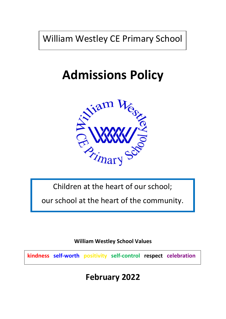William Westley CE Primary School

# **Admissions Policy**



Children at the heart of our school;

our school at the heart of the community.

**William Westley School Values**

**kindness self-worth positivity self-control respect celebration**

**February 2022**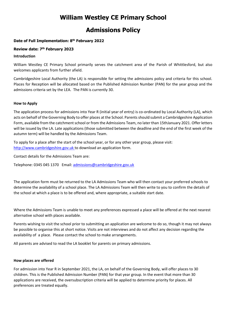## **William Westley CE Primary School**

## **Admissions Policy**

### **Date of Full Implementation: 8 th February 2022**

#### **Review date: 7 th February 2023**

#### **Introduction**

William Westley CE Primary School primarily serves the catchment area of the Parish of Whittlesford, but also welcomes applicants from further afield.

Cambridgeshire Local Authority (the LA) is responsible for setting the admissions policy and criteria for this school. Places for Reception will be allocated based on the Published Admission Number (PAN) for the year group and the admissions criteria set by the LEA. The PAN is currently 30.

#### **How to Apply**

The application process for admissions into Year R (initial year of entry) is co-ordinated by Local Authority (LA), which acts on behalf of the Governing Body to offer places at the School. Parents should submit a Cambridgeshire Application Form, available from the catchment school or from the Admissions Team, no later than 15thJanuary 2021. Offer letters will be issued by the LA. Late applications (those submitted between the deadline and the end of the first week of the autumn term) will be handled by the Admissions Team.

To apply for a place after the start of the school year, or for any other year group, please visit: [http://www.cambridgeshire.gov.uk t](http://www.cambridgeshire.gov.uk/)o download an application form.

Contact details for the Admissions Team are:

Telephone: 0345 045 1370 Email[: admissions@cambridgeshire.gov.uk](mailto:admissions@cambridgeshire.gov.uk)

The application form must be returned to the LA Admissions Team who will then contact your preferred schools to determine the availability of a school place. The LA Admissions Team will then write to you to confirm the details of the school at which a place is to be offered and, where appropriate, a suitable start date.

Where the Admissions Team is unable to meet any preferences expressed a place will be offered at the next nearest alternative school with places available.

Parents wishing to visit the school prior to submitting an application are welcome to do so, though it may not always be possible to organise this at short notice. Visits are not interviews and do not affect any decision regarding the availability of a place. Please contact the school to make arrangements.

All parents are advised to read the LA booklet for parents on primary admissions.

#### **How places are offered**

For admission into Year R in September 2021, the LA, on behalf of the Governing Body, will offer places to 30 children. This is the Published Admission Number (PAN) for that year group. In the event that more than 30 applications are received, the oversubscription criteria will be applied to determine priority for places. All preferences are treated equally.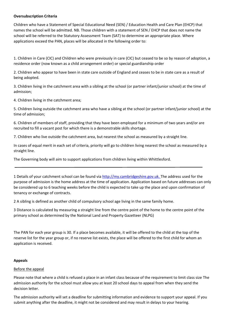#### **Oversubscription Criteria**

Children who have a Statement of Special Educational Need (SEN) / Education Health and Care Plan (EHCP) that names the school will be admitted. NB. Those children with a statement of SEN / EHCP that does not name the school will be referred to the Statutory Assessment Team (SAT) to determine an appropriate place. Where applications exceed the PAN, places will be allocated in the following order to:

1. Children in Care (CIC) and Children who were previously in care (CIC) but ceased to be so by reason of adoption, a residence order (now known as a child arrangement order) or special guardianship order

2. Children who appear to have been in state care outside of England and ceases to be in state care as a result of being adopted.

3. Children living in the catchment area with a sibling at the school (or partner infant/junior school) at the time of admission;

4. Children living in the catchment area;

5. Children living outside the catchment area who have a sibling at the school (or partner infant/junior school) at the time of admission;

6. Children of members of staff, providing that they have been employed for a minimum of two years and/or are recruited to fill a vacant post for which there is a demonstrable skills shortage.

7. Children who live outside the catchment area, but nearest the school as measured by a straight line.

In cases of equal merit in each set of criteria, priority will go to children living nearest the school as measured by a straight line.

The Governing body will aim to support applications from children living within Whittlesford.

1 Details of your catchment school can be found vi[a http://my.cambridgeshire.gov.uk. T](http://my.cambridgeshire.gov.uk/)he address used for the purpose of admission is the home address at the time of application. Application based on future addresses can only be considered up to 6 teaching weeks before the child is expected to take up the place and upon confirmation of tenancy or exchange of contracts.

2 A sibling is defined as another child of compulsory school age living in the same family home.

3 Distance is calculated by measuring a straight line from the centre point of the home to the centre point of the primary school as determined by the National Land and Property Gazetteer (NLPG)

The PAN for each year group is 30. If a place becomes available, it will be offered to the child at the top of the reserve list for the year group or, if no reserve list exists, the place will be offered to the first child for whom an application is received.

#### **Appeals**

#### Before the appeal

Please note that where a child is refused a place in an infant class because of the requirement to limit class size The admission authority for the school must allow you at least 20 school days to appeal from when they send the decision letter.

The admission authority will set a deadline for submitting information and evidence to support your appeal. If you submit anything after the deadline, it might not be considered and may result in delays to your hearing.